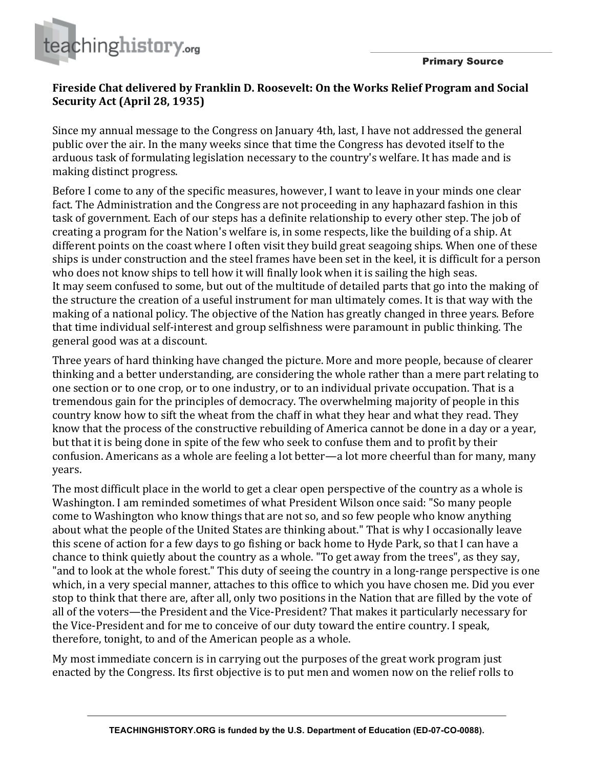

## Fireside Chat delivered by Franklin D. Roosevelt: On the Works Relief Program and Social **Security Act (April 28, 1935)**

Since my annual message to the Congress on January 4th, last, I have not addressed the general public over the air. In the many weeks since that time the Congress has devoted itself to the arduous task of formulating legislation necessary to the country's welfare. It has made and is making distinct progress.

Before I come to any of the specific measures, however, I want to leave in your minds one clear fact. The Administration and the Congress are not proceeding in any haphazard fashion in this task of government. Each of our steps has a definite relationship to every other step. The job of creating a program for the Nation's welfare is, in some respects, like the building of a ship. At different points on the coast where I often visit they build great seagoing ships. When one of these ships is under construction and the steel frames have been set in the keel, it is difficult for a person who does not know ships to tell how it will finally look when it is sailing the high seas. It may seem confused to some, but out of the multitude of detailed parts that go into the making of the structure the creation of a useful instrument for man ultimately comes. It is that way with the making of a national policy. The objective of the Nation has greatly changed in three years. Before that time individual self-interest and group selfishness were paramount in public thinking. The general good was at a discount.

Three years of hard thinking have changed the picture. More and more people, because of clearer thinking and a better understanding, are considering the whole rather than a mere part relating to one section or to one crop, or to one industry, or to an individual private occupation. That is a tremendous gain for the principles of democracy. The overwhelming majority of people in this country know how to sift the wheat from the chaff in what they hear and what they read. They know that the process of the constructive rebuilding of America cannot be done in a day or a year, but that it is being done in spite of the few who seek to confuse them and to profit by their confusion. Americans as a whole are feeling a lot better—a lot more cheerful than for many, many years.

The most difficult place in the world to get a clear open perspective of the country as a whole is Washington. I am reminded sometimes of what President Wilson once said: "So many people come to Washington who know things that are not so, and so few people who know anything about what the people of the United States are thinking about." That is why I occasionally leave this scene of action for a few days to go fishing or back home to Hyde Park, so that I can have a chance to think quietly about the country as a whole. "To get away from the trees", as they say, "and to look at the whole forest." This duty of seeing the country in a long-range perspective is one which, in a very special manner, attaches to this office to which you have chosen me. Did you ever stop to think that there are, after all, only two positions in the Nation that are filled by the vote of all of the voters—the President and the Vice-President? That makes it particularly necessary for the Vice-President and for me to conceive of our duty toward the entire country. I speak, therefore, tonight, to and of the American people as a whole.

My most immediate concern is in carrying out the purposes of the great work program just enacted by the Congress. Its first objective is to put men and women now on the relief rolls to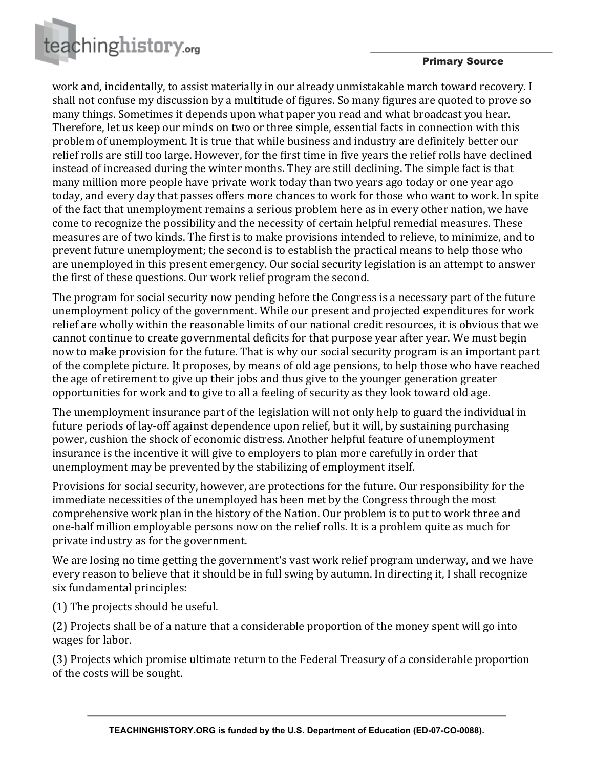

## Primary Source

work and, incidentally, to assist materially in our already unmistakable march toward recovery. I shall not confuse my discussion by a multitude of figures. So many figures are quoted to prove so many things. Sometimes it depends upon what paper you read and what broadcast you hear. Therefore, let us keep our minds on two or three simple, essential facts in connection with this problem of unemployment. It is true that while business and industry are definitely better our relief rolls are still too large. However, for the first time in five years the relief rolls have declined instead of increased during the winter months. They are still declining. The simple fact is that many million more people have private work today than two years ago today or one year ago today, and every day that passes offers more chances to work for those who want to work. In spite of the fact that unemployment remains a serious problem here as in every other nation, we have come to recognize the possibility and the necessity of certain helpful remedial measures. These measures are of two kinds. The first is to make provisions intended to relieve, to minimize, and to prevent future unemployment; the second is to establish the practical means to help those who are unemployed in this present emergency. Our social security legislation is an attempt to answer the first of these questions. Our work relief program the second.

The program for social security now pending before the Congress is a necessary part of the future unemployment policy of the government. While our present and projected expenditures for work relief are wholly within the reasonable limits of our national credit resources, it is obvious that we cannot continue to create governmental deficits for that purpose year after year. We must begin now to make provision for the future. That is why our social security program is an important part of the complete picture. It proposes, by means of old age pensions, to help those who have reached the age of retirement to give up their jobs and thus give to the younger generation greater opportunities for work and to give to all a feeling of security as they look toward old age.

The unemployment insurance part of the legislation will not only help to guard the individual in future periods of lay-off against dependence upon relief, but it will, by sustaining purchasing power, cushion the shock of economic distress. Another helpful feature of unemployment insurance is the incentive it will give to employers to plan more carefully in order that unemployment may be prevented by the stabilizing of employment itself.

Provisions for social security, however, are protections for the future. Our responsibility for the immediate necessities of the unemployed has been met by the Congress through the most comprehensive work plan in the history of the Nation. Our problem is to put to work three and one-half million employable persons now on the relief rolls. It is a problem quite as much for private industry as for the government.

We are losing no time getting the government's vast work relief program underway, and we have every reason to believe that it should be in full swing by autumn. In directing it, I shall recognize six fundamental principles:

(1) The projects should be useful.

(2) Projects shall be of a nature that a considerable proportion of the money spent will go into wages for labor.

(3) Projects which promise ultimate return to the Federal Treasury of a considerable proportion of the costs will be sought.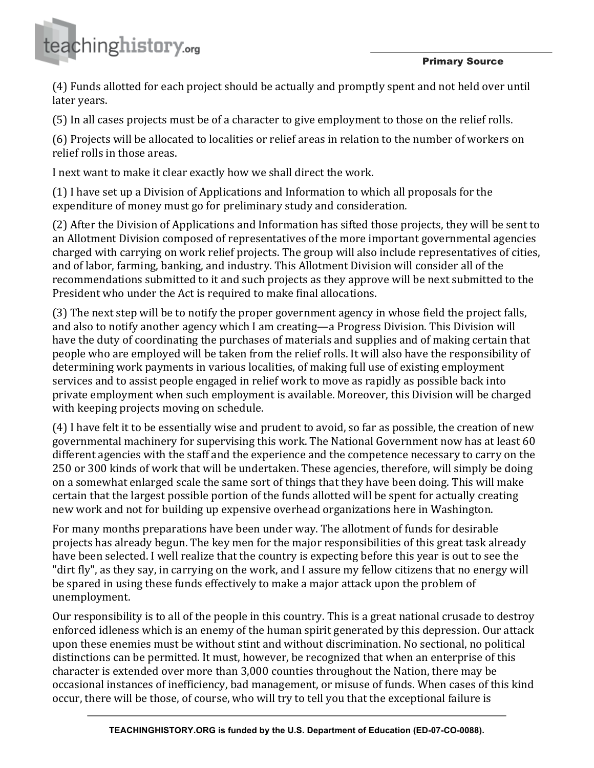

Primary Source

(4) Funds allotted for each project should be actually and promptly spent and not held over until later vears.

(5) In all cases projects must be of a character to give employment to those on the relief rolls.

(6) Projects will be allocated to localities or relief areas in relation to the number of workers on relief rolls in those areas.

I next want to make it clear exactly how we shall direct the work.

(1) I have set up a Division of Applications and Information to which all proposals for the expenditure of money must go for preliminary study and consideration.

(2) After the Division of Applications and Information has sifted those projects, they will be sent to an Allotment Division composed of representatives of the more important governmental agencies charged with carrying on work relief projects. The group will also include representatives of cities, and of labor, farming, banking, and industry. This Allotment Division will consider all of the recommendations submitted to it and such projects as they approve will be next submitted to the President who under the Act is required to make final allocations.

(3) The next step will be to notify the proper government agency in whose field the project falls, and also to notify another agency which I am creating—a Progress Division. This Division will have the duty of coordinating the purchases of materials and supplies and of making certain that people who are employed will be taken from the relief rolls. It will also have the responsibility of determining work payments in various localities, of making full use of existing employment services and to assist people engaged in relief work to move as rapidly as possible back into private employment when such employment is available. Moreover, this Division will be charged with keeping projects moving on schedule.

 $(4)$  I have felt it to be essentially wise and prudent to avoid, so far as possible, the creation of new governmental machinery for supervising this work. The National Government now has at least 60 different agencies with the staff and the experience and the competence necessary to carry on the 250 or 300 kinds of work that will be undertaken. These agencies, therefore, will simply be doing on a somewhat enlarged scale the same sort of things that they have been doing. This will make certain that the largest possible portion of the funds allotted will be spent for actually creating new work and not for building up expensive overhead organizations here in Washington.

For many months preparations have been under way. The allotment of funds for desirable projects has already begun. The key men for the major responsibilities of this great task already have been selected. I well realize that the country is expecting before this year is out to see the "dirt fly", as they say, in carrying on the work, and I assure my fellow citizens that no energy will be spared in using these funds effectively to make a major attack upon the problem of unemployment.

Our responsibility is to all of the people in this country. This is a great national crusade to destroy enforced idleness which is an enemy of the human spirit generated by this depression. Our attack upon these enemies must be without stint and without discrimination. No sectional, no political distinctions can be permitted. It must, however, be recognized that when an enterprise of this character is extended over more than 3,000 counties throughout the Nation, there may be occasional instances of inefficiency, bad management, or misuse of funds. When cases of this kind occur, there will be those, of course, who will try to tell you that the exceptional failure is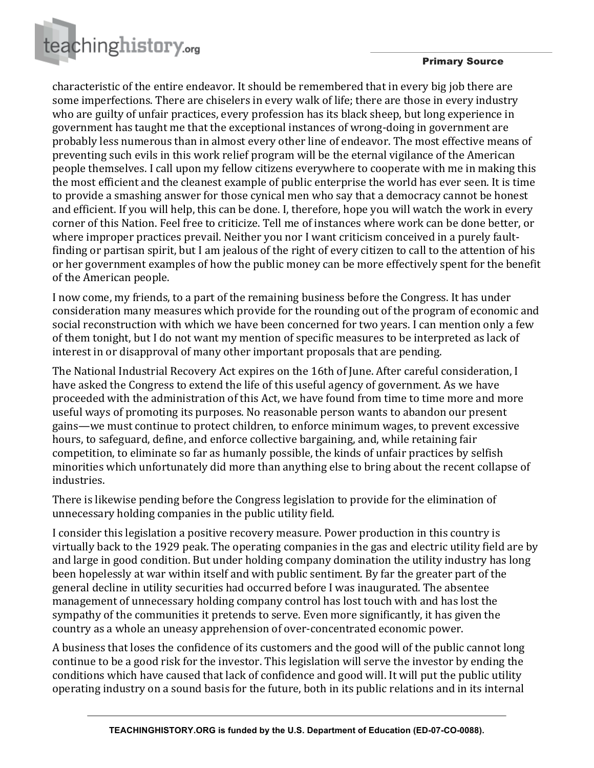



characteristic of the entire endeavor. It should be remembered that in every big job there are some imperfections. There are chiselers in every walk of life; there are those in every industry who are guilty of unfair practices, every profession has its black sheep, but long experience in government has taught me that the exceptional instances of wrong-doing in government are probably less numerous than in almost every other line of endeavor. The most effective means of preventing such evils in this work relief program will be the eternal vigilance of the American people themselves. I call upon my fellow citizens everywhere to cooperate with me in making this the most efficient and the cleanest example of public enterprise the world has ever seen. It is time to provide a smashing answer for those cynical men who say that a democracy cannot be honest and efficient. If you will help, this can be done. I, therefore, hope you will watch the work in every corner of this Nation. Feel free to criticize. Tell me of instances where work can be done better, or where improper practices prevail. Neither you nor I want criticism conceived in a purely faultfinding or partisan spirit, but I am jealous of the right of every citizen to call to the attention of his or her government examples of how the public money can be more effectively spent for the benefit of the American people.

I now come, my friends, to a part of the remaining business before the Congress. It has under consideration many measures which provide for the rounding out of the program of economic and social reconstruction with which we have been concerned for two years. I can mention only a few of them tonight, but I do not want my mention of specific measures to be interpreted as lack of interest in or disapproval of many other important proposals that are pending.

The National Industrial Recovery Act expires on the 16th of June. After careful consideration, I have asked the Congress to extend the life of this useful agency of government. As we have proceeded with the administration of this Act, we have found from time to time more and more useful ways of promoting its purposes. No reasonable person wants to abandon our present gains—we must continue to protect children, to enforce minimum wages, to prevent excessive hours, to safeguard, define, and enforce collective bargaining, and, while retaining fair competition, to eliminate so far as humanly possible, the kinds of unfair practices by selfish minorities which unfortunately did more than anything else to bring about the recent collapse of industries.

There is likewise pending before the Congress legislation to provide for the elimination of unnecessary holding companies in the public utility field.

I consider this legislation a positive recovery measure. Power production in this country is virtually back to the 1929 peak. The operating companies in the gas and electric utility field are by and large in good condition. But under holding company domination the utility industry has long been hopelessly at war within itself and with public sentiment. By far the greater part of the general decline in utility securities had occurred before I was inaugurated. The absentee management of unnecessary holding company control has lost touch with and has lost the sympathy of the communities it pretends to serve. Even more significantly, it has given the country as a whole an uneasy apprehension of over-concentrated economic power.

A business that loses the confidence of its customers and the good will of the public cannot long continue to be a good risk for the investor. This legislation will serve the investor by ending the conditions which have caused that lack of confidence and good will. It will put the public utility operating industry on a sound basis for the future, both in its public relations and in its internal